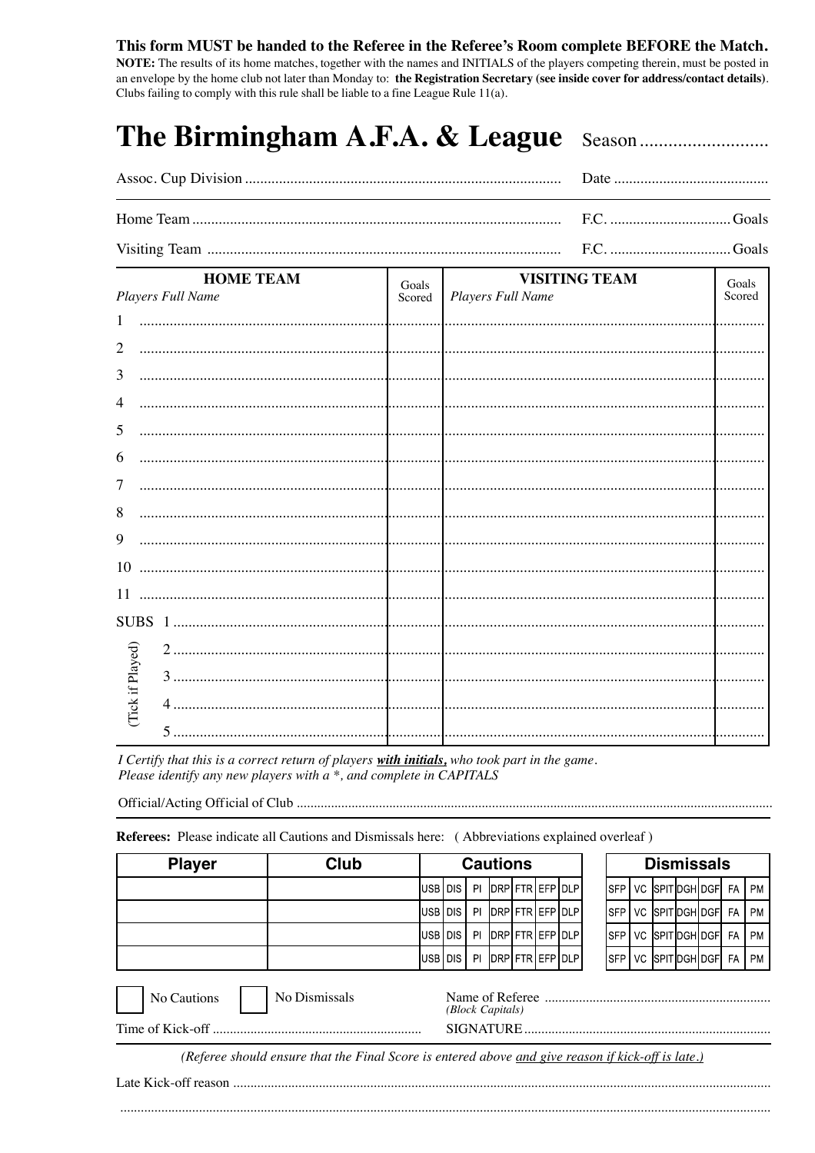## This form MUST be handed to the Referee in the Referee's Room complete BEFORE the Match.

NOTE: The results of its home matches, together with the names and INITIALS of the players competing therein, must be posted in an envelope by the home club not later than Monday to: the Registration Secretary (see inside cover for address/contact details). Clubs failing to comply with this rule shall be liable to a fine League Rule 11(a).

| <b>HOME TEAM Legislation SEX VISITING TEAM</b> |  | $\frac{1}{2}$ $\frac{1}{2}$ |
|------------------------------------------------|--|-----------------------------|

|                 | <b>HOME TEAM</b>  | Goals  | <b>VISITING TEAM</b> | Goals  |
|-----------------|-------------------|--------|----------------------|--------|
|                 | Players Full Name | Scored | Players Full Name    | Scored |
| $\mathbf{1}$    |                   |        |                      |        |
| $\overline{2}$  |                   |        |                      |        |
| 3               |                   |        |                      |        |
| 4               |                   |        |                      |        |
| 5               |                   |        |                      |        |
| 6               |                   |        |                      |        |
|                 |                   |        |                      |        |
| 7               |                   | 1.     |                      |        |
| 8               |                   |        |                      |        |
| 9               |                   |        |                      |        |
| 10              |                   |        |                      |        |
| 11              |                   |        |                      |        |
| SUBS 1          |                   |        |                      |        |
|                 |                   |        |                      |        |
|                 |                   |        |                      |        |
| Tick if Played) |                   |        |                      |        |
|                 |                   |        |                      |        |
|                 | 5                 |        |                      |        |

I Certify that this is a correct return of players with initials, who took part in the game. Please identify any new players with a \*, and complete in CAPITALS

Referees: Please indicate all Cautions and Dismissals here: (Abbreviations explained overleaf)

| <b>Player</b> | Club          | <b>Cautions</b> |  |     |                                     | <b>Dismissals</b>       |  |  |  |  |  |                           |    |           |
|---------------|---------------|-----------------|--|-----|-------------------------------------|-------------------------|--|--|--|--|--|---------------------------|----|-----------|
|               |               | IUSB I DIS I    |  | PI  |                                     | <b>IDRPIFTRIEFPIDLP</b> |  |  |  |  |  | ISFPIVC ISPITIDGHIDGFI FA |    | <b>PM</b> |
|               |               | IUSB I DIS I    |  | PI. |                                     | <b>IDRPLFTRLEFPLDLP</b> |  |  |  |  |  | ISFP I VC ISPITIDGHIDGFI  | FA | <b>PM</b> |
|               |               | IUSB I DIS I    |  | PI  |                                     | DRP  FTR   EFP   DLP    |  |  |  |  |  | ISFP I VC ISPITIDGHIDGFI  | FA | <b>PM</b> |
|               |               | IUSB I DIS I    |  |     |                                     | PI DRPIFTRIEFPIDLPI     |  |  |  |  |  | SFP   VC  SPIT DGH DGF    | FA | PM        |
| No Cautions   | No Dismissals |                 |  |     | Name of Referee<br>(Block Capitals) |                         |  |  |  |  |  |                           |    |           |

(Referee should ensure that the Final Score is entered above and give reason if kick-off is late.)